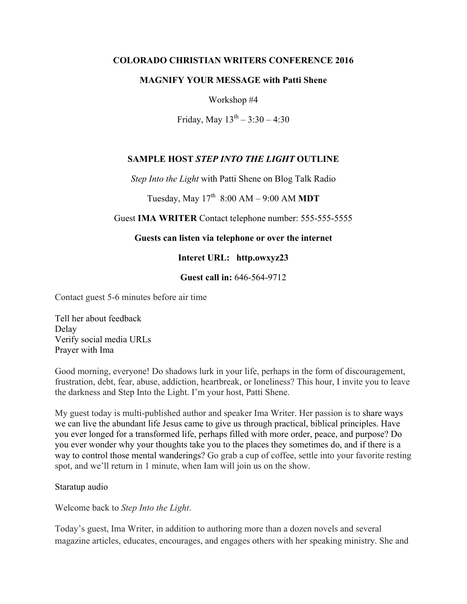### **COLORADO CHRISTIAN WRITERS CONFERENCE 2016**

#### **MAGNIFY YOUR MESSAGE with Patti Shene**

Workshop #4

Friday, May  $13^{th} - 3:30 - 4:30$ 

# **SAMPLE HOST** *STEP INTO THE LIGHT* **OUTLINE**

*Step Into the Light* with Patti Shene on Blog Talk Radio

Tuesday, May  $17^{th}$  8:00 AM – 9:00 AM **MDT** 

## Guest **IMA WRITER** Contact telephone number: 555-555-5555

### **Guests can listen via telephone or over the internet**

## **Interet URL: http.owxyz23**

### **Guest call in:** 646-564-9712

Contact guest 5-6 minutes before air time

Tell her about feedback Delay Verify social media URLs Prayer with Ima

Good morning, everyone! Do shadows lurk in your life, perhaps in the form of discouragement, frustration, debt, fear, abuse, addiction, heartbreak, or loneliness? This hour, I invite you to leave the darkness and Step Into the Light. I'm your host, Patti Shene.

My guest today is multi-published author and speaker Ima Writer. Her passion is to share ways we can live the abundant life Jesus came to give us through practical, biblical principles. Have you ever longed for a transformed life, perhaps filled with more order, peace, and purpose? Do you ever wonder why your thoughts take you to the places they sometimes do, and if there is a way to control those mental wanderings? Go grab a cup of coffee, settle into your favorite resting spot, and we'll return in 1 minute, when Iam will join us on the show.

Staratup audio

Welcome back to *Step Into the Light*.

Today's guest, Ima Writer, in addition to authoring more than a dozen novels and several magazine articles, educates, encourages, and engages others with her speaking ministry. She and